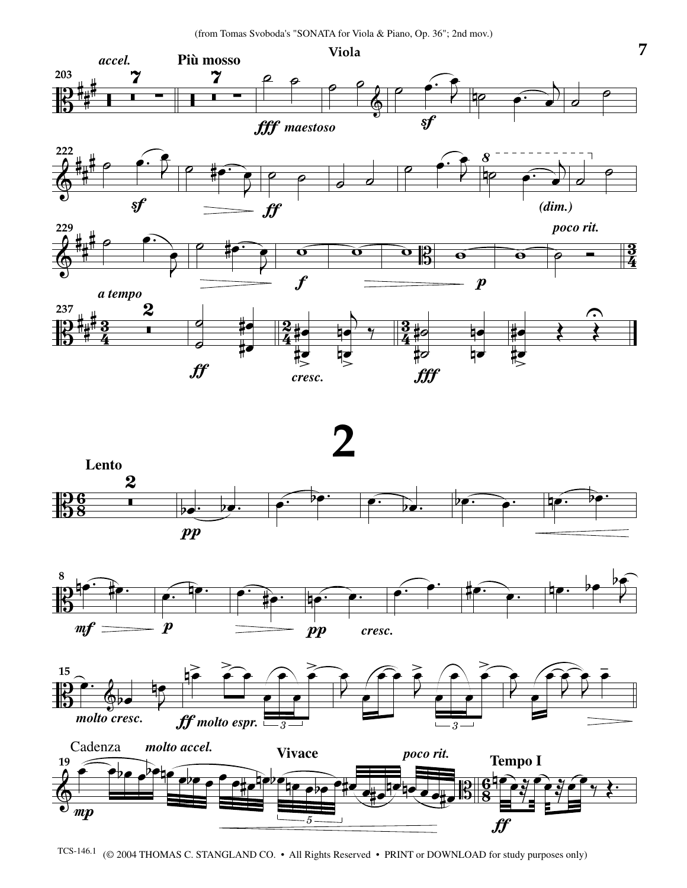









TCS-146.1 (© 2004 THOMAS C. STANGLAND CO. • All Rights Reserved • PRINT or DOWNLOAD for study purposes only)